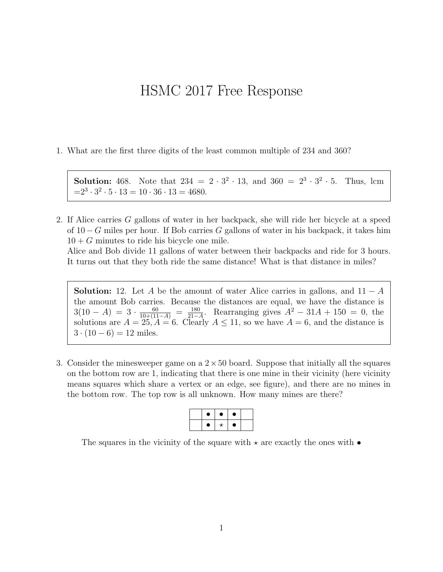## HSMC 2017 Free Response

1. What are the first three digits of the least common multiple of 234 and 360?

**Solution:** 468. Note that  $234 = 2 \cdot 3^2 \cdot 13$ , and  $360 = 2^3 \cdot 3^2$ Thus, lcm  $=2^3 \cdot 3^2 \cdot 5 \cdot 13 = 10 \cdot 36 \cdot 13 = 4680.$ 

2. If Alice carries G gallons of water in her backpack, she will ride her bicycle at a speed of  $10 - G$  miles per hour. If Bob carries G gallons of water in his backpack, it takes him  $10 + G$  minutes to ride his bicycle one mile.

Alice and Bob divide 11 gallons of water between their backpacks and ride for 3 hours. It turns out that they both ride the same distance! What is that distance in miles?

**Solution:** 12. Let A be the amount of water Alice carries in gallons, and  $11 - A$ the amount Bob carries. Because the distances are equal, we have the distance is  $3(10-A) = 3 \cdot \frac{60}{10+(11-A)} = \frac{180}{21-A}$  $\frac{180}{21-A}$ . Rearranging gives  $A^2 - 31A + 150 = 0$ , the solutions are  $A = 25, A = 6$ . Clearly  $A \le 11$ , so we have  $A = 6$ , and the distance is  $3 \cdot (10 - 6) = 12$  miles.

3. Consider the minesweeper game on a  $2 \times 50$  board. Suppose that initially all the squares on the bottom row are 1, indicating that there is one mine in their vicinity (here vicinity means squares which share a vertex or an edge, see figure), and there are no mines in the bottom row. The top row is all unknown. How many mines are there?

|  | $\bullet$ |           |  |
|--|-----------|-----------|--|
|  |           | $\bullet$ |  |

The squares in the vicinity of the square with  $\star$  are exactly the ones with  $\bullet$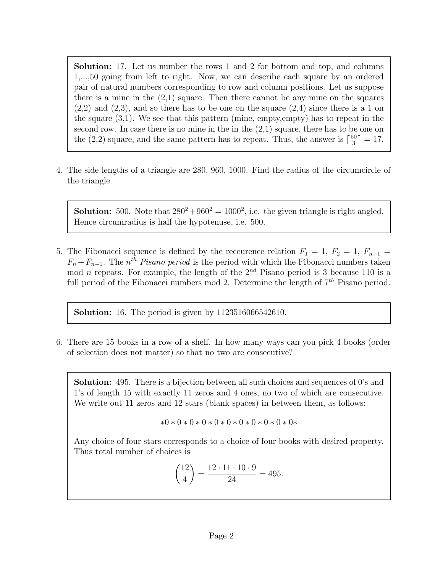Solution: 17. Let us number the rows 1 and 2 for bottom and top, and columns 1,...,50 going from left to right. Now, we can describe each square by an ordered pair of natural numbers corresponding to row and column positions. Let us suppose there is a mine in the  $(2,1)$  square. Then there cannot be any mine on the squares  $(2,2)$  and  $(2,3)$ , and so there has to be one on the square  $(2,4)$  since there is a 1 on the square (3,1). We see that this pattern (mine, empty,empty) has to repeat in the second row. In case there is no mine in the in the  $(2,1)$  square, there has to be one on the (2,2) square, and the same pattern has to repeat. Thus, the answer is  $\lceil \frac{50}{3} \rceil$  $\frac{50}{3}$ ] = 17.

4. The side lengths of a triangle are 280, 960, 1000. Find the radius of the circumcircle of the triangle.

**Solution:** 500. Note that  $280^2 + 960^2 = 1000^2$ , i.e. the given triangle is right angled. Hence circumradius is half the hypotenuse, i.e. 500.

5. The Fibonacci sequence is defined by the reccurence relation  $F_1 = 1, F_2 = 1, F_{n+1} =$  $F_n + F_{n-1}$ . The *n<sup>th</sup>* Pisano period is the period with which the Fibonacci numbers taken mod *n* repeats. For example, the length of the  $2^{nd}$  Pisano period is 3 because 110 is a full period of the Fibonacci numbers mod 2. Determine the length of  $7<sup>th</sup>$  Pisano period.

**Solution:** 16. The period is given by 1123516066542610.

6. There are 15 books in a row of a shelf. In how many ways can you pick 4 books (order of selection does not matter) so that no two are consecutive?

Solution: 495. There is a bijection between all such choices and sequences of 0's and 1's of length 15 with exactly 11 zeros and 4 ones, no two of which are consecutive. We write out 11 zeros and 12 stars (blank spaces) in between them, as follows:

$$
*0*0*0*0*0*0*0*0*0*0*0*0*0*0*\\
$$

Any choice of four stars corresponds to a choice of four books with desired property. Thus total number of choices is

$$
\binom{12}{4} = \frac{12 \cdot 11 \cdot 10 \cdot 9}{24} = 495.
$$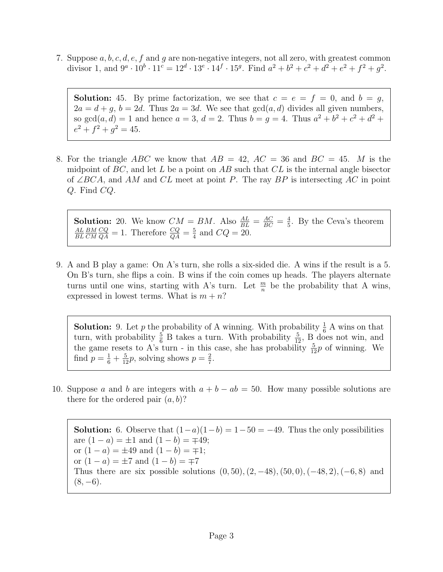7. Suppose  $a, b, c, d, e, f$  and g are non-negative integers, not all zero, with greatest common divisor 1, and  $9^a \cdot 10^b \cdot 11^c = 12^d \cdot 13^e \cdot 14^f \cdot 15^g$ . Find  $a^2 + b^2 + c^2 + d^2 + e^2 + f^2 + g^2$ .

**Solution:** 45. By prime factorization, we see that  $c = e = f = 0$ , and  $b = g$ ,  $2a = d + g$ ,  $b = 2d$ . Thus  $2a = 3d$ . We see that  $gcd(a, d)$  divides all given numbers, so  $gcd(a, d) = 1$  and hence  $a = 3$ ,  $d = 2$ . Thus  $b = g = 4$ . Thus  $a^2 + b^2 + c^2 + d^2 +$  $e^2 + f^2 + g^2 = 45.$ 

8. For the triangle ABC we know that  $AB = 42$ ,  $AC = 36$  and  $BC = 45$ . M is the midpoint of  $BC$ , and let L be a point on AB such that  $CL$  is the internal angle bisector of ∠BCA, and AM and CL meet at point P. The ray BP is intersecting AC in point Q. Find CQ.

**Solution:** 20. We know  $CM = BM$ . Also  $\frac{AL}{BL} = \frac{AC}{BC} = \frac{4}{5}$  $\frac{4}{5}$ . By the Ceva's theorem AL BL BM  $CM$  $\frac{CQ}{QA} = 1$ . Therefore  $\frac{CQ}{QA} = \frac{5}{4}$  $\frac{5}{4}$  and  $CQ = 20$ .

9. A and B play a game: On A's turn, she rolls a six-sided die. A wins if the result is a 5. On B's turn, she flips a coin. B wins if the coin comes up heads. The players alternate turns until one wins, starting with A's turn. Let  $\frac{m}{n}$  be the probability that A wins, expressed in lowest terms. What is  $m + n$ ?

**Solution:** 9. Let p the probability of A winning. With probability  $\frac{1}{6}$  A wins on that turn, with probability  $\frac{5}{6}$  B takes a turn. With probability  $\frac{5}{12}$ , B does not win, and the game resets to A's turn - in this case, she has probability  $\frac{5}{12}p$  of winning. We find  $p = \frac{1}{6} + \frac{5}{12}p$ , solving shows  $p = \frac{2}{7}$  $\frac{2}{7}$ .

10. Suppose a and b are integers with  $a + b - ab = 50$ . How many possible solutions are there for the ordered pair  $(a, b)$ ?

**Solution:** 6. Observe that  $(1-a)(1-b) = 1-50 = -49$ . Thus the only possibilities are  $(1 - a) = \pm 1$  and  $(1 - b) = \mp 49$ ; or  $(1 - a) = \pm 49$  and  $(1 - b) = \mp 1$ ; or  $(1 - a) = \pm 7$  and  $(1 - b) = \mp 7$ Thus there are six possible solutions  $(0, 50)$ ,  $(2, -48)$ ,  $(50, 0)$ ,  $(-48, 2)$ ,  $(-6, 8)$  and  $(8, -6)$ .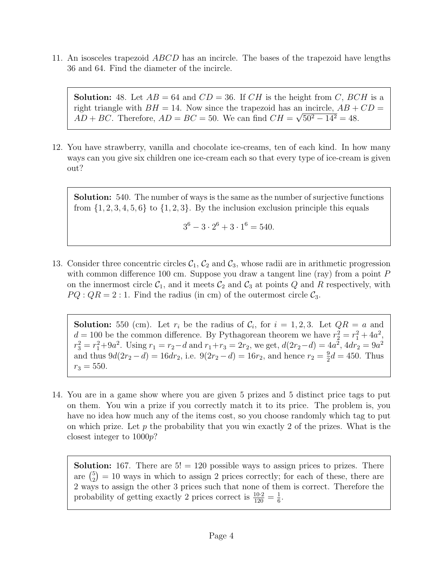11. An isosceles trapezoid *ABCD* has an incircle. The bases of the trapezoid have lengths 36 and 64. Find the diameter of the incircle.

**Solution:** 48. Let  $AB = 64$  and  $CD = 36$ . If  $CH$  is the height from C, BCH is a right triangle with  $BH = 14$ . Now since the trapezoid has an incircle,  $AB + CD =$  $AD + BC$ . Therefore,  $AD = BC = 50$ . We can find  $CH = \sqrt{50^2 - 14^2} = 48$ .

12. You have strawberry, vanilla and chocolate ice-creams, ten of each kind. In how many ways can you give six children one ice-cream each so that every type of ice-cream is given out?

Solution: 540. The number of ways is the same as the number of surjective functions from  $\{1, 2, 3, 4, 5, 6\}$  to  $\{1, 2, 3\}$ . By the inclusion exclusion principle this equals

$$
3^6 - 3 \cdot 2^6 + 3 \cdot 1^6 = 540.
$$

13. Consider three concentric circles  $C_1$ ,  $C_2$  and  $C_3$ , whose radii are in arithmetic progression with common difference 100 cm. Suppose you draw a tangent line (ray) from a point  $P$ on the innermost circle  $C_1$ , and it meets  $C_2$  and  $C_3$  at points Q and R respectively, with  $PQ:QR=2:1.$  Find the radius (in cm) of the outermost circle  $\mathcal{C}_3$ .

**Solution:** 550 (cm). Let  $r_i$  be the radius of  $\mathcal{C}_i$ , for  $i = 1, 2, 3$ . Let  $QR = a$  and  $d = 100$  be the common difference. By Pythagorean theorem we have  $r_2^2 = r_1^2 + 4a^2$ ,  $r_3^2 = r_1^2 + 9a^2$ . Using  $r_1 = r_2 - d$  and  $r_1 + r_3 = 2r_2$ , we get,  $d(2r_2 - d) = 4a^2$ ,  $4dr_2 = 9a^2$ and thus  $9d(2r_2 - d) = 16dr_2$ , i.e.  $9(2r_2 - d) = 16r_2$ , and hence  $r_2 = \frac{9}{2}$  $\frac{9}{2}d = 450$ . Thus  $r_3 = 550.$ 

14. You are in a game show where you are given 5 prizes and 5 distinct price tags to put on them. You win a prize if you correctly match it to its price. The problem is, you have no idea how much any of the items cost, so you choose randomly which tag to put on which prize. Let  $p$  the probability that you win exactly 2 of the prizes. What is the closest integer to 1000p?

**Solution:** 167. There are  $5! = 120$  possible ways to assign prices to prizes. There are  $\binom{5}{2}$  $_{2}^{5}$ ) = 10 ways in which to assign 2 prices correctly; for each of these, there are 2 ways to assign the other 3 prices such that none of them is correct. Therefore the probability of getting exactly 2 prices correct is  $\frac{10\cdot 2}{120} = \frac{1}{6}$  $\frac{1}{6}$ .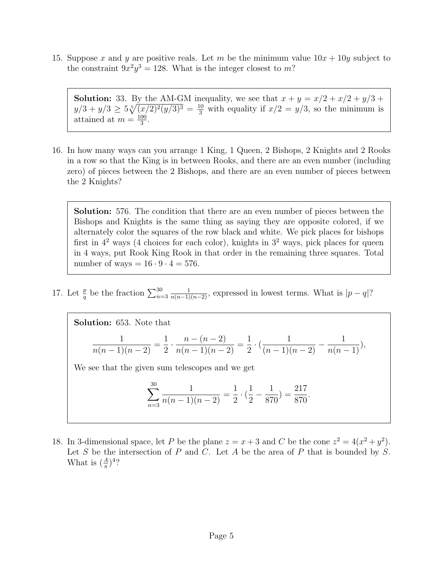15. Suppose x and y are positive reals. Let m be the minimum value  $10x + 10y$  subject to the constraint  $9x^2y^3 = 128$ . What is the integer closest to m?

**Solution:** 33. By the AM-GM inequality, we see that  $x + y = x/2 + x/2 + y/3 + y/3$  $y/3 + y/3 \ge 5\sqrt[5]{(x/2)^2(y/3)^3} = \frac{10}{3}$  with equality if  $x/2 = y/3$ , so the minimum is attained at  $m = \frac{100}{3}$  $\frac{00}{3}$ .

16. In how many ways can you arrange 1 King, 1 Queen, 2 Bishops, 2 Knights and 2 Rooks in a row so that the King is in between Rooks, and there are an even number (including zero) of pieces between the 2 Bishops, and there are an even number of pieces between the 2 Knights?

Solution: 576. The condition that there are an even number of pieces between the Bishops and Knights is the same thing as saying they are opposite colored, if we alternately color the squares of the row black and white. We pick places for bishops first in  $4^2$  ways (4 choices for each color), knights in  $3^2$  ways, pick places for queen in 4 ways, put Rook King Rook in that order in the remaining three squares. Total number of ways  $= 16 \cdot 9 \cdot 4 = 576$ .

17. Let  $\frac{p}{q}$  be the fraction  $\sum_{n=3}^{30}$  $\frac{1}{n(n-1)(n-2)}$ , expressed in lowest terms. What is  $|p-q|$ ?

Solution: 653. Note that 1  $\frac{1}{n(n-1)(n-2)}$  = 1 2  $\frac{n-(n-2)}{2}$  $\frac{n(n+1)(n-2)}{n(n-1)(n-2)} =$ 1 2  $\cdot \left( \frac{1}{(n-1)(n-2)} - \frac{1}{n(n-1)} \right)$  $\frac{1}{n(n-1)}$ ),

We see that the given sum telescopes and we get

$$
\sum_{n=3}^{30} \frac{1}{n(n-1)(n-2)} = \frac{1}{2} \cdot (\frac{1}{2} - \frac{1}{870}) = \frac{217}{870}.
$$

18. In 3-dimensional space, let P be the plane  $z = x + 3$  and C be the cone  $z^2 = 4(x^2 + y^2)$ . Let  $S$  be the intersection of  $P$  and  $C$ . Let  $A$  be the area of  $P$  that is bounded by  $S$ . What is  $(\frac{A}{\pi})^4$ ?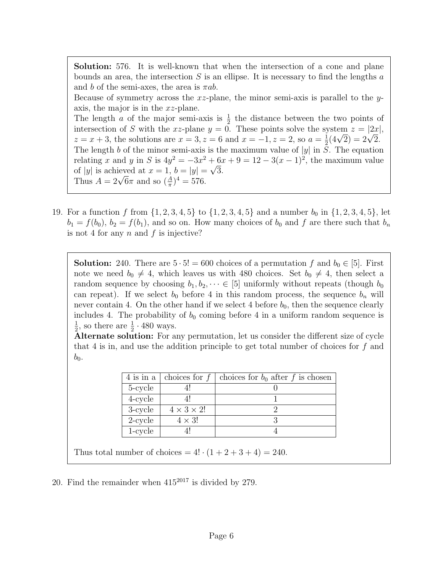Solution: 576. It is well-known that when the intersection of a cone and plane bounds an area, the intersection  $S$  is an ellipse. It is necessary to find the lengths  $a$ and b of the semi-axes, the area is  $\pi ab$ .

Because of symmetry across the  $xz$ -plane, the minor semi-axis is parallel to the yaxis, the major is in the xz-plane.

The length a of the major semi-axis is  $\frac{1}{2}$  the distance between the two points of intersection of S with the xz-plane  $y = 0$ . These points solve the system  $z = |2x|$ ,  $z = x + 3$ , the solutions are  $x = 3, z = 6$  and  $x = -1, z = 2$ , so  $a = \frac{1}{2}$  $z = |zx|$ <br>  $\frac{1}{2}(4\sqrt{2}) = 2\sqrt{2}.$ The length b of the minor semi-axis is the maximum value of  $|y|$  in S. The equation relating x and y in S is  $4y^2 = -3x^2 + 6x + 9 = 12 - 3(x - 1)^2$ , the maximum value of |y| is achieved at  $x = 1$ ,  $b = |y| = \sqrt{3}$ . or |y| is a chieved at  $x = 1$ ,  $b = |y|$  =<br>Thus  $A = 2\sqrt{6}\pi$  and so  $(\frac{A}{\pi})^4 = 576$ .

19. For a function f from  $\{1, 2, 3, 4, 5\}$  to  $\{1, 2, 3, 4, 5\}$  and a number  $b_0$  in  $\{1, 2, 3, 4, 5\}$ , let  $b_1 = f(b_0)$ ,  $b_2 = f(b_1)$ , and so on. How many choices of  $b_0$  and f are there such that  $b_n$ is not 4 for any  $n$  and  $f$  is injective?

**Solution:** 240. There are  $5 \cdot 5! = 600$  choices of a permutation f and  $b_0 \in [5]$ . First note we need  $b_0 \neq 4$ , which leaves us with 480 choices. Set  $b_0 \neq 4$ , then select a random sequence by choosing  $b_1, b_2, \dots \in [5]$  uniformly without repeats (though  $b_0$ can repeat). If we select  $b_0$  before 4 in this random process, the sequence  $b_n$  will never contain 4. On the other hand if we select 4 before  $b_0$ , then the sequence clearly includes 4. The probability of  $b_0$  coming before 4 in a uniform random sequence is 1  $\frac{1}{2}$ , so there are  $\frac{1}{2} \cdot 480$  ways.

Alternate solution: For any permutation, let us consider the different size of cycle that 4 is in, and use the addition principle to get total number of choices for  $f$  and  $b_0$ .

|            | 4 is in a   choices for $f$ | choices for $b_0$ after f is chosen |
|------------|-----------------------------|-------------------------------------|
| 5-cycle    |                             |                                     |
| $4$ -cycle |                             |                                     |
| 3-cycle    | $4 \times 3 \times 2!$      |                                     |
| $2$ -cycle | $4 \times 3!$               |                                     |
| 1-cycle    |                             |                                     |

Thus total number of choices =  $4! \cdot (1 + 2 + 3 + 4) = 240$ .

20. Find the remainder when  $415^{2017}$  is divided by 279.